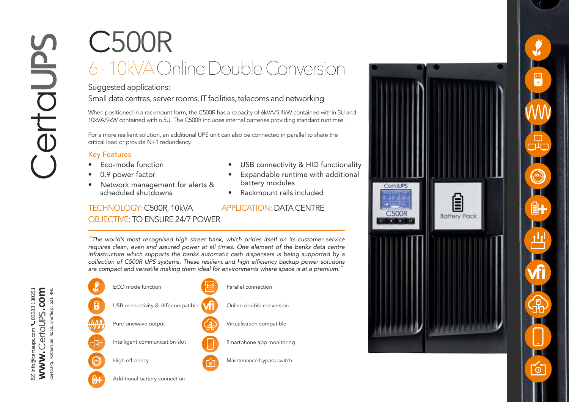## C500R 6 - 10kVA Online Double Conversion

## Suggested applications:

Small data centres, server rooms, IT facilities, telecoms and networking

When positioned in a rackmount form, the C500R has a capacity of 6kVA/5.4kW contained within 3U and 10kVA/9kW contained within 5U. The C500R includes internal batteries providing standard runtimes.

For a more resilient solution, an additional UPS unit can also be connected in parallel to share the critical load or provide N+1 redundancy.

## Key Features

- Eco-mode function 0.9 power factor
- 
- Network management for alerts & scheduled shutdowns
- USB connectivity & HID functionality
- Expandable runtime with additional battery modules
- Rackmount rails included

## TECHNOLOGY: C500R, 10kVA APPLICATION: DATA CENTRE OBJECTIVE: TO ENSURE 24/7 POWER

*"The world's most recognised high street bank, which prides itself on its customer service requires clean, even and assured power at all times. One element of the banks data centre infrastructure which supports the banks automatic cash dispensers is being supported by a*  collection of C500R UPS systems. These resilient and high efficiency backup power solutions *are compact and versatile making them ideal for environments where space is at a premium."* 





┑. **97%** ÊH <u>ון |</u><br>ו⊒ **vfi**  $\infty$ 

F